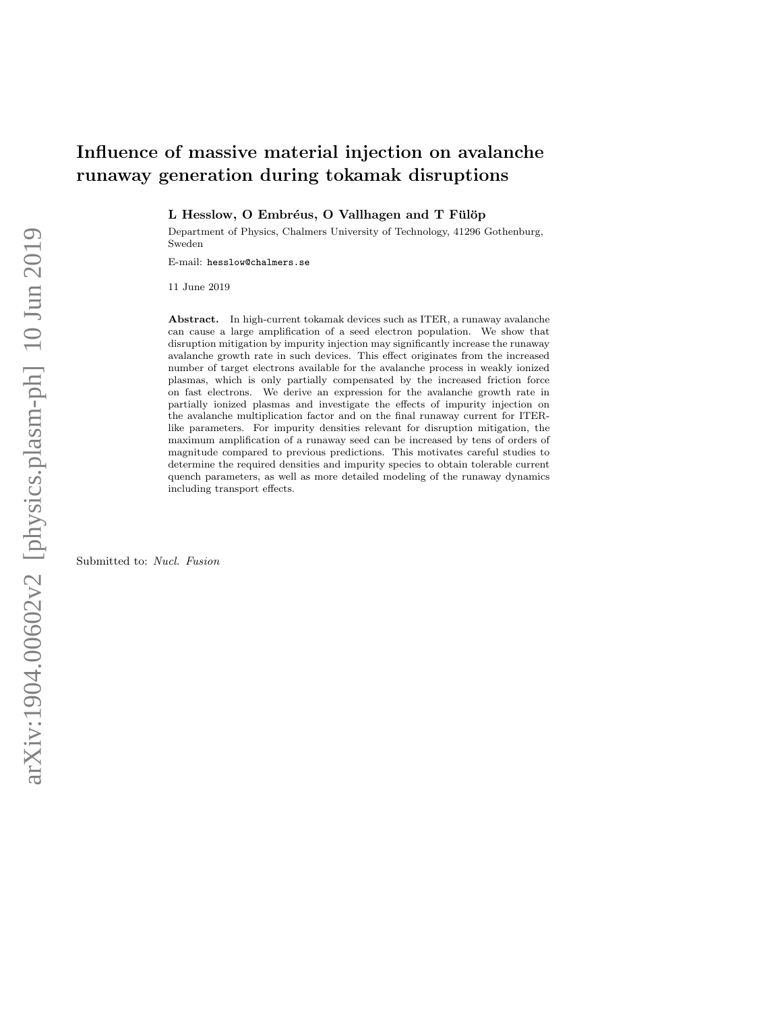## Influence of massive material injection on avalanche runaway generation during tokamak disruptions

L Hesslow, O Embréus, O Vallhagen and T Fülöp

Department of Physics, Chalmers University of Technology, 41296 Gothenburg, Sweden

E-mail: hesslow@chalmers.se

11 June 2019

Abstract. In high-current tokamak devices such as ITER, a runaway avalanche can cause a large amplification of a seed electron population. We show that disruption mitigation by impurity injection may significantly increase the runaway avalanche growth rate in such devices. This effect originates from the increased number of target electrons available for the avalanche process in weakly ionized plasmas, which is only partially compensated by the increased friction force on fast electrons. We derive an expression for the avalanche growth rate in partially ionized plasmas and investigate the effects of impurity injection on the avalanche multiplication factor and on the final runaway current for ITERlike parameters. For impurity densities relevant for disruption mitigation, the maximum amplification of a runaway seed can be increased by tens of orders of magnitude compared to previous predictions. This motivates careful studies to determine the required densities and impurity species to obtain tolerable current quench parameters, as well as more detailed modeling of the runaway dynamics including transport effects.

Submitted to: Nucl. Fusion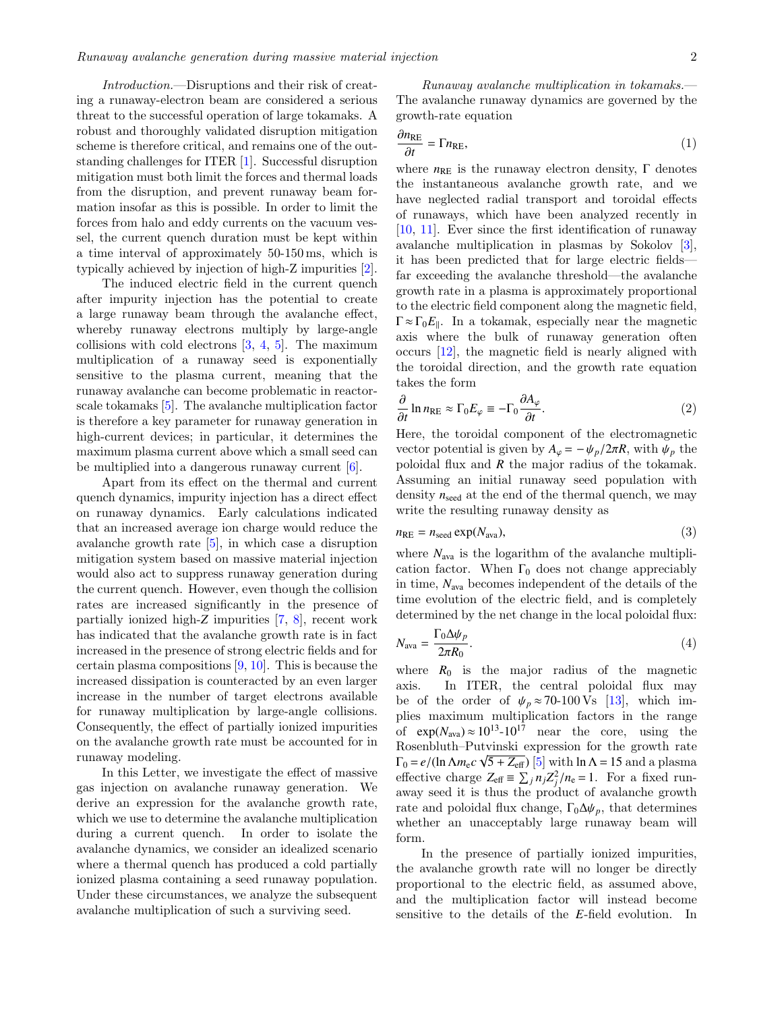Introduction.—Disruptions and their risk of creating a runaway-electron beam are considered a serious threat to the successful operation of large tokamaks. A robust and thoroughly validated disruption mitigation scheme is therefore critical, and remains one of the outstanding challenges for ITER [\[1\]](#page-5-0). Successful disruption mitigation must both limit the forces and thermal loads from the disruption, and prevent runaway beam formation insofar as this is possible. In order to limit the forces from halo and eddy currents on the vacuum vessel, the current quench duration must be kept within a time interval of approximately 50-150 ms, which is typically achieved by injection of high-Z impurities [\[2\]](#page-5-1).

The induced electric field in the current quench after impurity injection has the potential to create a large runaway beam through the avalanche effect, whereby runaway electrons multiply by large-angle collisions with cold electrons  $[3, 4, 5]$  $[3, 4, 5]$  $[3, 4, 5]$  $[3, 4, 5]$  $[3, 4, 5]$ . The maximum multiplication of a runaway seed is exponentially sensitive to the plasma current, meaning that the runaway avalanche can become problematic in reactorscale tokamaks [\[5\]](#page-5-4). The avalanche multiplication factor is therefore a key parameter for runaway generation in high-current devices; in particular, it determines the maximum plasma current above which a small seed can be multiplied into a dangerous runaway current [\[6\]](#page-5-5).

Apart from its effect on the thermal and current quench dynamics, impurity injection has a direct effect on runaway dynamics. Early calculations indicated that an increased average ion charge would reduce the avalanche growth rate [\[5\]](#page-5-4), in which case a disruption mitigation system based on massive material injection would also act to suppress runaway generation during the current quench. However, even though the collision rates are increased significantly in the presence of partially ionized high-*Z* impurities [\[7,](#page-5-6) [8\]](#page-5-7), recent work has indicated that the avalanche growth rate is in fact increased in the presence of strong electric fields and for certain plasma compositions  $[9, 10]$  $[9, 10]$  $[9, 10]$ . This is because the increased dissipation is counteracted by an even larger increase in the number of target electrons available for runaway multiplication by large-angle collisions. Consequently, the effect of partially ionized impurities on the avalanche growth rate must be accounted for in runaway modeling.

In this Letter, we investigate the effect of massive gas injection on avalanche runaway generation. We derive an expression for the avalanche growth rate, which we use to determine the avalanche multiplication during a current quench. In order to isolate the avalanche dynamics, we consider an idealized scenario where a thermal quench has produced a cold partially ionized plasma containing a seed runaway population. Under these circumstances, we analyze the subsequent avalanche multiplication of such a surviving seed.

Runaway avalanche multiplication in tokamaks.— The avalanche runaway dynamics are governed by the growth-rate equation

<span id="page-1-0"></span>
$$
\frac{\partial n_{\text{RE}}}{\partial t} = \Gamma n_{\text{RE}},\tag{1}
$$

 $∂t$  <sup>17</sup><sup>*n*</sup><sub>RE</sub>,  $|$ <sup>*i*</sup>  $|$ <sup>*i*</sup>  $|$ <sup>*j*</sup>  $|$ <sup>*j*</sup>  $|$ *j*  $|$ *j*  $|$ *j*  $|$ *j*  $|$ *j*  $|$ *j*  $|$ *j*  $|$ *j*  $|$ *j*  $|$ *j*  $|$ *j*  $|$ *j*  $|$ *j*  $|$ *j*  $|$ *j*  $|$ *j*  $|$ *j*  $|$ *j*  $|$ *j*  $|$ *j*  $|$ *j*  $|$ *j*  $|$ *j*  $|$ the instantaneous avalanche growth rate, and we have neglected radial transport and toroidal effects of runaways, which have been analyzed recently in [\[10,](#page-5-9) [11\]](#page-5-10). Ever since the first identification of runaway avalanche multiplication in plasmas by Sokolov [\[3\]](#page-5-2), it has been predicted that for large electric fields far exceeding the avalanche threshold—the avalanche growth rate in a plasma is approximately proportional to the electric field component along the magnetic field,  $\Gamma \approx \Gamma_0 E_{\parallel}$ . In a tokamak, especially near the magnetic axis where the bulk of runaway generation often occurs [\[12\]](#page-5-11), the magnetic field is nearly aligned with the toroidal direction, and the growth rate equation takes the form

$$
\frac{\partial}{\partial t} \ln n_{\text{RE}} \approx \Gamma_0 E_{\varphi} \equiv -\Gamma_0 \frac{\partial A_{\varphi}}{\partial t}.
$$
\n(2)

\nHere, the toroidal component of the electromagnetic

vector potential is given by  $A_{\varphi} = -\psi_p/2\pi R$ , with  $\psi_p$  the poloidal flux and *R* the major radius of the tokamak. Assuming an initial runaway seed population with density  $n_{\text{seed}}$  at the end of the thermal quench, we may write the resulting runaway density as

$$
n_{\rm RE} = n_{\rm seed} \exp(N_{\rm ava}),\tag{3}
$$

where  $N_{\text{ava}}$  is the logarithm of the avalanche multiplication factor. When  $\Gamma_0$  does not change appreciably in time, *N*ava becomes independent of the details of the time evolution of the electric field, and is completely determined by the net change in the local poloidal flux:

$$
N_{\text{ava}} = \frac{\Gamma_0 \Delta \psi_p}{2\pi R_0}.
$$
\n<sup>(4)</sup>

 $2\pi R_0$ <br>where  $R_0$  is the major radius of the magnetic axis. In ITER, the central poloidal flux may be of the order of  $\psi_p \approx 70$ -100 Vs [\[13\]](#page-5-12), which implies maximum multiplication factors in the range of  $\exp(N_{\text{ava}}) \approx 10^{13} - 10^{17}$  near the core, using the Rosenbluth–Putvinski expression for the growth rate  $\Gamma_0 = e/(\ln \Lambda m_e c \sqrt{5 + Z_{eff}})$  [\[5\]](#page-5-4) with  $\ln \Lambda = 15$  and a plasma<br>effective charge  $Z = \Sigma \cdot n \cdot Z^2 / n = 1$ . For a fixed runeffective charge  $Z_{\text{eff}} \equiv \sum_j n_j Z_j^2 / n_e = 1$ . For a fixed run-<br>away seed it is thus the product of avalanche growth away seed it is thus the product of avalanche growth rate and poloidal flux change,  $\Gamma_0 \Delta \psi_p$ , that determines whether an unacceptably large runaway beam will form.

In the presence of partially ionized impurities, the avalanche growth rate will no longer be directly proportional to the electric field, as assumed above, and the multiplication factor will instead become sensitive to the details of the *E*-field evolution. In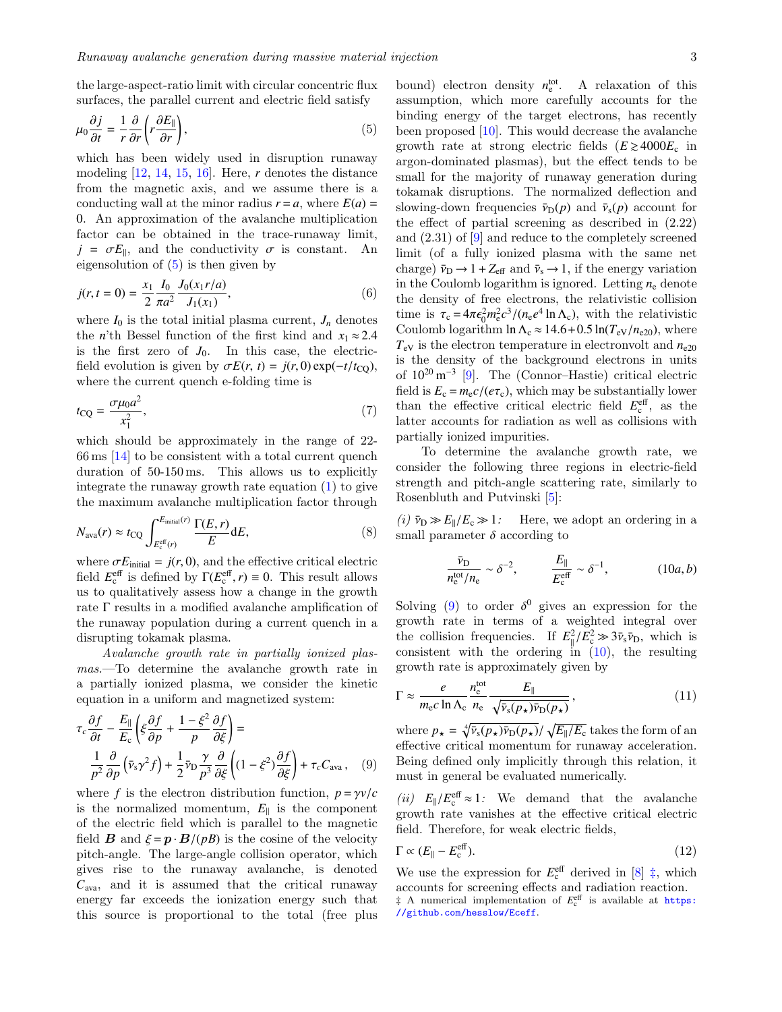the large-aspect-ratio limit with circular concentric flux surfaces, the parallel current and electric field satisfy

<span id="page-2-0"></span>
$$
\mu_0 \frac{\partial j}{\partial t} = \frac{1}{r} \frac{\partial}{\partial r} \left( r \frac{\partial E_{\parallel}}{\partial r} \right),\tag{5}
$$
\nwhich has been widely used in disruption runaway

modeling [\[12,](#page-5-11) [14,](#page-5-13) [15,](#page-5-14) [16\]](#page-5-15). Here, *r* denotes the distance from the magnetic axis, and we assume there is a conducting wall at the minor radius  $r = a$ , where  $E(a) =$ 0. An approximation of the avalanche multiplication factor can be obtained in the trace-runaway limit,  $j = \sigma E_{\parallel}$ , and the conductivity  $\sigma$  is constant. An eigensolution of (5) is then given by eigensolution of [\(5\)](#page-2-0) is then given by

$$
j(r, t = 0) = \frac{x_1}{2} \frac{I_0}{\pi a^2} \frac{J_0(x_1 r/a)}{J_1(x_1)},
$$
\n(6)

where  $I_0$  is the total initial plasma current,  $J_n$  denotes the  $n\text{'th}$  Bessel function of the first kind and  $x_1\approx 2.4$ is the first zero of  $J_0$ . In this case, the electricfield evolution is given by  $\sigma E(r, t) = j(r, 0) \exp(-t/t_{\text{CO}})$ , where the current quench e-folding time is

$$
t_{\rm CQ} = \frac{\sigma \mu_0 a^2}{x_1^2},\tag{7}
$$

which should be approximately in the range of 22- 66 ms [\[14\]](#page-5-13) to be consistent with a total current quench duration of 50-150 ms. This allows us to explicitly integrate the runaway growth rate equation [\(1\)](#page-1-0) to give the maximum avalanche multiplication factor through

<span id="page-2-6"></span>
$$
N_{\text{ava}}(r) \approx t_{\text{CQ}} \int_{E_{\text{c}}^{\text{eff}}(r)}^{E_{\text{initial}}(r)} \frac{\Gamma(E,r)}{E} dE,
$$
\n(8)

where  $\sigma E_{initial} = j(r, 0)$ , and the effective critical electric field  $E_c^{\text{eff}}$  is defined by  $\Gamma(E_c^{\text{eff}}, r) \equiv 0$ . This result allows us to qualitatively assess how a change in the growth rate Γ results in a modified avalanche amplification of the runaway population during a current quench in a disrupting tokamak plasma.

Avalanche growth rate in partially ionized plasmas.—To determine the avalanche growth rate in a partially ionized plasma, we consider the kinetic equation in a uniform and magnetized system:

<span id="page-2-1"></span>
$$
\tau_c \frac{\partial f}{\partial t} - \frac{E_{\parallel}}{E_c} \left( \xi \frac{\partial f}{\partial p} + \frac{1 - \xi^2}{p} \frac{\partial f}{\partial \xi} \right) =
$$
  

$$
\frac{1}{p^2} \frac{\partial}{\partial p} \left( \bar{v}_s \gamma^2 f \right) + \frac{1}{2} \bar{v}_D \frac{\gamma}{p^3} \frac{\partial}{\partial \xi} \left( (1 - \xi^2) \frac{\partial f}{\partial \xi} \right) + \tau_c C_{\text{ava}} , \quad (9)
$$

where *f* is the electron distribution function,  $p = \gamma v/c$ <br>is the normalized momentum  $F_u$  is the component is the normalized momentum,  $E_{\parallel}$  is the component of the electric field which is parallel to the magnetic field **B** and  $\xi = p \cdot B/(pB)$  is the cosine of the velocity pitch-angle. The large-angle collision operator, which gives rise to the runaway avalanche, is denoted  $C_{\text{ava}}$ , and it is assumed that the critical runaway energy far exceeds the ionization energy such that this source is proportional to the total (free plus

bound) electron density  $n_e^{\text{tot}}$ . A relaxation of this assumption, which more carefully accounts for the binding energy of the target electrons, has recently been proposed [\[10\]](#page-5-9). This would decrease the avalanche growth rate at strong electric fields  $(E \ge 4000E_c$  in argon-dominated plasmas), but the effect tends to be small for the majority of runaway generation during tokamak disruptions. The normalized deflection and slowing-down frequencies  $\bar{v}_D(p)$  and  $\bar{v}_s(p)$  account for the effect of partial screening as described in (2.22) and (2.31) of [\[9\]](#page-5-8) and reduce to the completely screened limit (of a fully ionized plasma with the same net charge)  $\bar{\nu}_{\text{D}} \rightarrow 1 + Z_{\text{eff}}$  and  $\bar{\nu}_{\text{s}} \rightarrow 1$ , if the energy variation in the Coulomb logarithm is ignored. Letting  $n_e$  denote the density of free electrons, the relativistic collision time is  $\tau_c = 4\pi \epsilon_0^2 m_e^2 c^3 / (n_e e^4 \ln \Lambda_c)$ , with the relativistic<br>Coulomb logarithm ln  $\Lambda \approx 14.6 \pm 0.5 \ln(Tv/n_{c0})$ , where Coulomb logarithm ln  $\Lambda_c \approx 14.6 + 0.5 \ln(T_{eV}/n_{e20})$ , where  $T_{eV}$  is the electron temperature in electronvolt and  $n_{e20}$ is the density of the background electrons in units of 10<sup>20</sup> m<sup>−</sup><sup>3</sup> [\[9\]](#page-5-8). The (Connor–Hastie) critical electric field is  $E_c = m_e c / (e \tau_c)$ , which may be substantially lower than the effective critical electric field  $E_c^{\text{eff}}$ , as the latter accounts for radiation as well as collisions with partially ionized impurities.

To determine the avalanche growth rate, we consider the following three regions in electric-field strength and pitch-angle scattering rate, similarly to Rosenbluth and Putvinski [\[5\]](#page-5-4):

(*i*)  $\bar{v}_D \gg E_{\parallel}/E_c \gg 1$ : Here, we adopt an ordering in a small parameter  $\delta$  according to

<span id="page-2-2"></span>
$$
\frac{\bar{v}_{\rm D}}{n_{\rm e}^{\rm tot}/n_{\rm e}} \sim \delta^{-2}, \qquad \frac{E_{\parallel}}{E_{\rm c}^{\rm eff}} \sim \delta^{-1}, \tag{10a, b}
$$

Solving [\(9\)](#page-2-1) to order  $\delta^0$  gives an expression for the growth rate in terms of a weighted integral over growth rate in terms of a weighted integral over the collision frequencies. If  $E_{\parallel}^2/E_{\rm c}^2 \gg 3\bar{v}_s\bar{v}_{\rm D}$ , which is<br>consistent with the ordering in (10) the resulting consistent with the ordering  $\text{in}$  [\(10\)](#page-2-2), the resulting growth rate is approximately given by

<span id="page-2-4"></span>
$$
\Gamma \approx \frac{e}{m_{\rm e}c \ln \Lambda_{\rm c}} \frac{n_{\rm e}^{\rm tot}}{n_{\rm e}} \frac{E_{\parallel}}{\sqrt{\bar{\nu}_{\rm s}(p_{\star})\bar{\nu}_{\rm D}(p_{\star})}},\tag{11}
$$

where  $p_{\star} = \sqrt[4]{\bar{v}_s(p_{\star})\bar{v}_D(p_{\star})}/\sqrt{E_{\parallel}/E_{c}}$  takes the form of an effective critical momentum for runaway acceleration. Being defined only implicitly through this relation, it must in general be evaluated numerically.

 $(ii)$   $E_{\parallel}/E_{\rm c}^{\rm eff} \approx 1$ : We demand that the avalanche<br>growth rate vanishes at the effective critical electric growth rate vanishes at the effective critical electric field. Therefore, for weak electric fields,

<span id="page-2-5"></span>
$$
\Gamma \propto (E_{\parallel} - E_{\rm c}^{\rm eff}).\tag{12}
$$

<span id="page-2-3"></span>We use the expression for  $E_c^{\text{eff}}$  derived in [\[8\]](#page-5-7)  $\ddagger$ , which accounts for screening effects and radiation reaction. <sup> $\ddagger$ </sup> A numerical implementation of  $E_c^{\text{eff}}$  is available at **[https:](https://github.com/hesslow/Eceff)** [//github.com/hesslow/Eceff](https://github.com/hesslow/Eceff).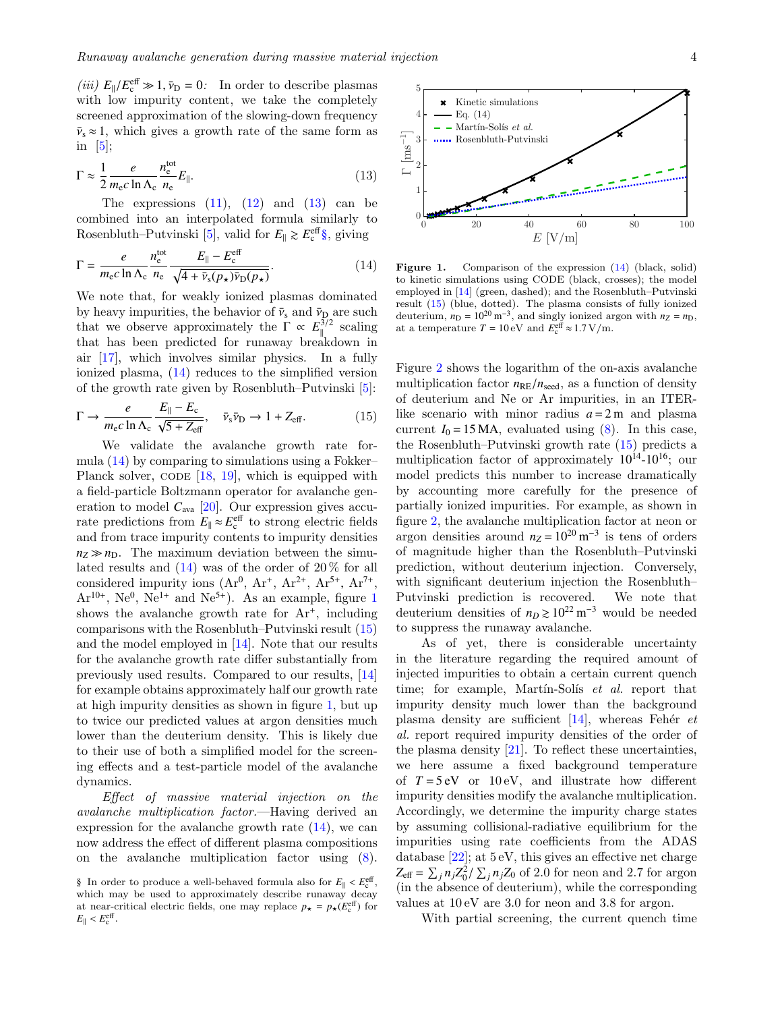(*iii*)  $E_{\parallel}/E_{\rm c}^{\rm eff} \gg 1, \bar{\nu}_{\rm D} = 0$ : In order to describe plasmas with low impurity content, we take the completely screened approximation of the slowing-down frequency  $\bar{v}_s \approx 1$ , which gives a growth rate of the same form as in  $[5]$ ;

<span id="page-3-0"></span>
$$
\Gamma \approx \frac{1}{2} \frac{e}{m_{\rm e}c \ln \Lambda_{\rm c}} \frac{n_{\rm e}^{\rm tot}}{n_{\rm e}} E_{\parallel}. \tag{13}
$$

The expressions  $(11)$ ,  $(12)$  and  $(13)$  can be combined into an interpolated formula similarly to Rosenbluth–Putvinski [\[5\]](#page-5-4), valid for  $E_{\parallel} \gtrsim E_{\rm c}^{\rm eff} \S$ , giving

<span id="page-3-2"></span>
$$
\Gamma = \frac{e}{m_{\rm e}c \ln \Lambda_{\rm c}} \frac{n_{\rm e}^{\rm tot}}{n_{\rm e}} \frac{E_{\parallel} - E_{\rm c}^{\rm eff}}{\sqrt{4 + \bar{v}_{\rm s}(p_{\star})\bar{v}_{\rm D}(p_{\star})}}.
$$
(14)

We note that, for weakly ionized plasmas dominated by heavy impurities, the behavior of  $\bar{\nu}_s$  and  $\bar{\nu}_D$  are such that we observe approximately the  $\Gamma \propto E_{\parallel}^{3/2}$  scaling that has been predicted for runaway breakdown in air [\[17\]](#page-5-16), which involves similar physics. In a fully ionized plasma, [\(14\)](#page-3-2) reduces to the simplified version of the growth rate given by Rosenbluth–Putvinski [\[5\]](#page-5-4):

<span id="page-3-4"></span>
$$
\Gamma \to \frac{e}{m_{\rm e}c \ln \Lambda_{\rm c}} \frac{E_{\parallel} - E_{\rm c}}{\sqrt{5 + Z_{\rm eff}}}, \quad \bar{\nu}_{\rm s} \bar{\nu}_{\rm D} \to 1 + Z_{\rm eff}.
$$
 (15)

We validate the avalanche growth rate formula [\(14\)](#page-3-2) by comparing to simulations using a Fokker– Planck solver, CODE  $[18, 19]$  $[18, 19]$  $[18, 19]$ , which is equipped with a field-particle Boltzmann operator for avalanche generation to model  $C_{\text{ava}}$  [\[20\]](#page-5-19). Our expression gives accurate predictions from  $E_{\parallel} \approx E_{\rm c}^{\rm eff}$  to strong electric fields and from trace impurity contents to impurity densities  $n_Z \gg n_D$ . The maximum deviation between the simulated results and  $(14)$  was of the order of  $20\%$  for all considered impurity ions  $(Ar^0, Ar^+, Ar^{2+}, Ar^{5+}, Ar^{7+}, Ar^{7+}, Ar^{10+}, Na^0, Na^{1+}$  and  $Ne^{5+}$ ). As an example figure 1  $Ar^{10+}$  $Ar^{10+}$  $Ar^{10+}$ ,  $Ne^{0}$ ,  $Ne^{1+}$  and  $Ne^{5+}$ ). As an example, figure 1 shows the avalanche growth rate for  $Ar^+$ , including comparisons with the Rosenbluth–Putvinski result [\(15\)](#page-3-4) and the model employed in [\[14\]](#page-5-13). Note that our results for the avalanche growth rate differ substantially from previously used results. Compared to our results, [\[14\]](#page-5-13) for example obtains approximately half our growth rate at high impurity densities as shown in figure [1,](#page-3-3) but up to twice our predicted values at argon densities much lower than the deuterium density. This is likely due to their use of both a simplified model for the screening effects and a test-particle model of the avalanche dynamics.

Effect of massive material injection on the avalanche multiplication factor.—Having derived an expression for the avalanche growth rate [\(14\)](#page-3-2), we can now address the effect of different plasma compositions on the avalanche multiplication factor using [\(8\)](#page-2-6).



<span id="page-3-3"></span>Figure 1. Comparison of the expression  $(14)$  (black, solid) to kinetic simulations using CODE (black, crosses); the model employed in [\[14\]](#page-5-13) (green, dashed); and the Rosenbluth–Putvinski result [\(15\)](#page-3-4) (blue, dotted). The plasma consists of fully ionized deuterium,  $n_D = 10^{20} \text{ m}^{-3}$ , and singly ionized argon with  $n_Z = n_D$ , at a temperature  $T = 10 \text{ eV}$  and  $E_c^{\text{eff}} \approx 1.7 \text{ V/m}$ .

Figure [2](#page-4-0) shows the logarithm of the on-axis avalanche multiplication factor  $n_{\text{RE}}/n_{\text{seed}}$ , as a function of density of deuterium and Ne or Ar impurities, in an ITERlike scenario with minor radius  $a = 2$  m and plasma current  $I_0 = 15 \text{ MA}$ , evaluated using  $(8)$ . In this case, the Rosenbluth–Putvinski growth rate [\(15\)](#page-3-4) predicts a multiplication factor of approximately  $10^{14}$ - $10^{16}$ ; our model predicts this number to increase dramatically by accounting more carefully for the presence of partially ionized impurities. For example, as shown in figure [2,](#page-4-0) the avalanche multiplication factor at neon or argon densities around  $n_Z = 10^{20} \text{ m}^{-3}$  is tens of orders of magnitude higher than the Rosenbluth–Putvinski prediction, without deuterium injection. Conversely, with significant deuterium injection the Rosenbluth– Putvinski prediction is recovered. We note that deuterium densities of  $n_D \ge 10^{22}$  m<sup>-3</sup> would be needed to suppress the runaway avalanche.

As of yet, there is considerable uncertainty in the literature regarding the required amount of injected impurities to obtain a certain current quench time; for example, Martín-Solís  $et$  al. report that impurity density much lower than the background plasma density are sufficient  $[14]$ , whereas Fehér et al. report required impurity densities of the order of the plasma density  $[21]$ . To reflect these uncertainties, we here assume a fixed background temperature of  $T = 5 \text{ eV}$  or  $10 \text{ eV}$ , and illustrate how different impurity densities modify the avalanche multiplication. Accordingly, we determine the impurity charge states by assuming collisional-radiative equilibrium for the impurities using rate coefficients from the ADAS database [\[22\]](#page-5-21); at 5 eV, this gives an effective net charge  $Z_{\text{eff}} = \sum_j n_j Z_0^2 / \sum_j n_j Z_0$  of 2.0 for neon and 2.7 for argon  $\lim_{x \to a} \frac{\sum_{j=1}^{n} \sum_{j=1}^{n} x_j}{y}$  while the corresponding values at 10 eV are 3.0 for neon and 3.8 for argon.

With partial screening, the current quench time

<span id="page-3-1"></span><sup>§</sup> In order to produce a well-behaved formula also for  $E_{\parallel} < E_{\rm c}^{\rm eff}$ , which may be used to approximately describe runaway decay which may be used to approximately describe runaway decay at near-critical electric fields, one may replace  $p_{\star} = p_{\star}(E_c^{\text{eff}})$  for  $E_{\parallel} < E_{\rm c}^{\rm eff}$ .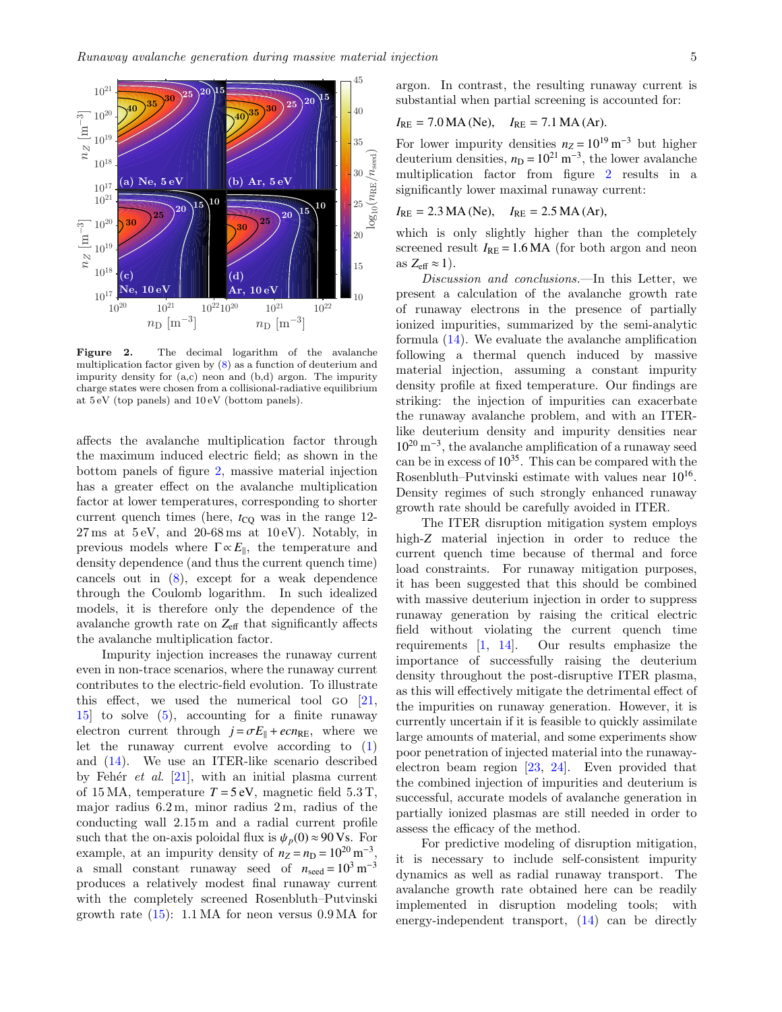

<span id="page-4-0"></span>Figure 2. The decimal logarithm of the avalanche multiplication factor given by [\(8\)](#page-2-6) as a function of deuterium and impurity density for (a,c) neon and (b,d) argon. The impurity charge states were chosen from a collisional-radiative equilibrium at 5 eV (top panels) and 10 eV (bottom panels).

affects the avalanche multiplication factor through the maximum induced electric field; as shown in the bottom panels of figure [2,](#page-4-0) massive material injection has a greater effect on the avalanche multiplication factor at lower temperatures, corresponding to shorter current quench times (here,  $t_{\text{CO}}$  was in the range 12- $27 \text{ ms at } 5 \text{ eV}, \text{ and } 20-68 \text{ ms at } 10 \text{ eV}.$  Notably, in previous models where  $\Gamma \propto E_{\parallel}$ , the temperature and density dependence (and thus the current quench time) cancels out in [\(8\)](#page-2-6), except for a weak dependence through the Coulomb logarithm. In such idealized models, it is therefore only the dependence of the avalanche growth rate on  $Z_{\text{eff}}$  that significantly affects the avalanche multiplication factor.

Impurity injection increases the runaway current even in non-trace scenarios, where the runaway current contributes to the electric-field evolution. To illustrate this effect, we used the numerical tool go [\[21,](#page-5-20) [15\]](#page-5-14) to solve [\(5\)](#page-2-0), accounting for a finite runaway electron current through  $j = \sigma E_{\parallel} + ecn_{\text{RE}}$ , where we let the runaway current evolve according to [\(1\)](#page-1-0) and [\(14\)](#page-3-2). We use an ITER-like scenario described by Fehér et al.  $[21]$ , with an initial plasma current of 15 MA, temperature  $T = 5$  eV, magnetic field 5.3 T, major radius 6.2 m, minor radius 2 m, radius of the conducting wall 2.15 m and a radial current profile such that the on-axis poloidal flux is  $\psi_p(0) \approx 90 \text{ Vs}$ . For example, at an impurity density of  $n_Z = n_D = 10^{20} \text{ m}^{-3}$ , a small constant runaway seed of  $n_{\text{seed}} = 10^3 \text{ m}^{-3}$ produces a relatively modest final runaway current with the completely screened Rosenbluth–Putvinski growth rate  $(15)$ : 1.1 MA for neon versus 0.9 MA for

argon. In contrast, the resulting runaway current is substantial when partial screening is accounted for:

$$
I_{RE} = 7.0 \text{MA} (\text{Ne}), \quad I_{RE} = 7.1 \text{MA} (\text{Ar}).
$$

For lower impurity densities  $n_Z = 10^{19} \text{ m}^{-3}$  but higher deuterium densities,  $n_D = 10^{21} \text{ m}^{-3}$ , the lower avalanche multiplication factor from figure [2](#page-4-0) results in a significantly lower maximal runaway current:

$$
I_{RE} = 2.3 \text{ MA} (\text{Ne}), \quad I_{RE} = 2.5 \text{ MA} (\text{Ar}),
$$

which is only slightly higher than the completely screened result  $I_{RE} = 1.6 \text{ MA}$  (for both argon and neon as  $Z_{\text{eff}} \approx 1$ ).

Discussion and conclusions.—In this Letter, we present a calculation of the avalanche growth rate of runaway electrons in the presence of partially ionized impurities, summarized by the semi-analytic formula [\(14\)](#page-3-2). We evaluate the avalanche amplification following a thermal quench induced by massive material injection, assuming a constant impurity density profile at fixed temperature. Our findings are striking: the injection of impurities can exacerbate the runaway avalanche problem, and with an ITERlike deuterium density and impurity densities near 10<sup>20</sup> m<sup>−</sup><sup>3</sup> , the avalanche amplification of a runaway seed can be in excess of  $10^{35}$ . This can be compared with the Rosenbluth–Putvinski estimate with values near  $10^{16}$ . Density regimes of such strongly enhanced runaway growth rate should be carefully avoided in ITER.

The ITER disruption mitigation system employs high-*Z* material injection in order to reduce the current quench time because of thermal and force load constraints. For runaway mitigation purposes, it has been suggested that this should be combined with massive deuterium injection in order to suppress runaway generation by raising the critical electric field without violating the current quench time requirements [\[1,](#page-5-0) [14\]](#page-5-13). Our results emphasize the importance of successfully raising the deuterium density throughout the post-disruptive ITER plasma, as this will effectively mitigate the detrimental effect of the impurities on runaway generation. However, it is currently uncertain if it is feasible to quickly assimilate large amounts of material, and some experiments show poor penetration of injected material into the runawayelectron beam region [\[23,](#page-5-22) [24\]](#page-5-23). Even provided that the combined injection of impurities and deuterium is successful, accurate models of avalanche generation in partially ionized plasmas are still needed in order to assess the efficacy of the method.

For predictive modeling of disruption mitigation, it is necessary to include self-consistent impurity dynamics as well as radial runaway transport. The avalanche growth rate obtained here can be readily implemented in disruption modeling tools; with energy-independent transport, [\(14\)](#page-3-2) can be directly